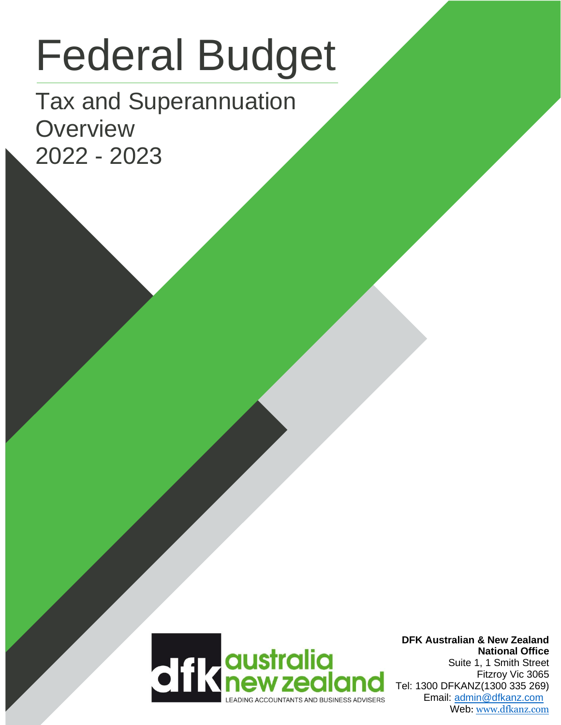# Federal Budget

Tax and Superannuation **Overview** 2022 - 2023

2020 - 2021



**DFK Australian & New Zealand National Office** Suite 1, 1 Smith Street Fitzroy Vic 3065 Tel: 1300 DFKANZ(1300 335 269) Email: [admin@dfkanz.com](mailto:admin@dfkanz.com) Web: [www.dfkanz.com](http://www.dfkanz.com/)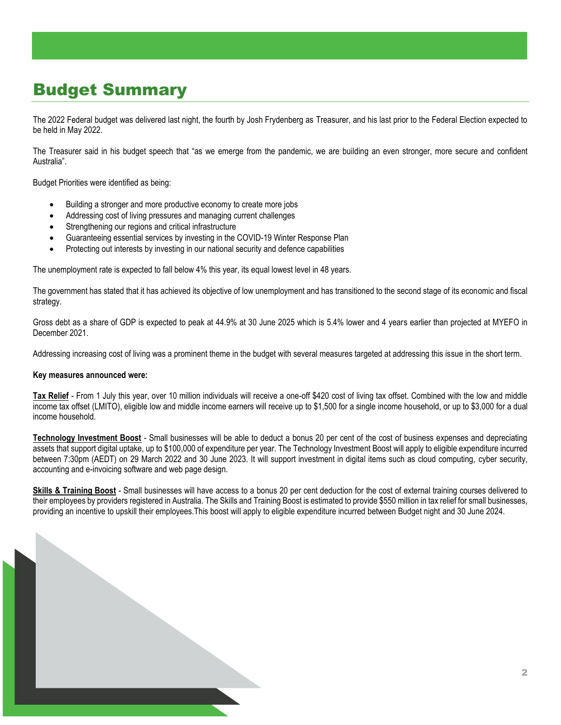## Budget Summary

The 2022 Federal budget was delivered last night, the fourth by Josh Frydenberg as Treasurer, and his last prior to the Federal Election expected to be held in May 2022.

The Treasurer said in his budget speech that "as we emerge from the pandemic, we are building an even stronger, more secure and confident Australia".

Budget Priorities were identified as being:

- Building a stronger and more productive economy to create more jobs
- Addressing cost of living pressures and managing current challenges
- Strengthening our regions and critical infrastructure
- Guaranteeing essential services by investing in the COVID-19 Winter Response Plan
- Protecting out interests by investing in our national security and defence capabilities

The unemployment rate is expected to fall below 4% this year, its equal lowest level in 48 years.

The government has stated that it has achieved its objective of low unemployment and has transitioned to the second stage of its economic and fiscal strategy.

Gross debt as a share of GDP is expected to peak at 44.9% at 30 June 2025 which is 5.4% lower and 4 years earlier than projected at MYEFO in December 2021.

Addressing increasing cost of living was a prominent theme in the budget with several measures targeted at addressing this issue in the short term.

#### **Key measures announced were:**

**Tax Relief** - From 1 July this year, over 10 million individuals will receive a one-off \$420 cost of living tax offset. Combined with the low and middle income tax offset (LMITO), eligible low and middle income earners will receive up to \$1,500 for a single income household, or up to \$3,000 for a dual income household.

**Technology Investment Boost** - Small businesses will be able to deduct a bonus 20 per cent of the cost of business expenses and depreciating assets that support digital uptake, up to \$100,000 of expenditure per year. The Technology Investment Boost will apply to eligible expenditure incurred between 7:30pm (AEDT) on 29 March 2022 and 30 June 2023. It will support investment in digital items such as cloud computing, cyber security, accounting and e-invoicing software and web page design.

**Skills & Training Boost** - Small businesses will have access to a bonus 20 per cent deduction for the cost of external training courses delivered to their employees by providers registered in Australia. The Skills and Training Boost is estimated to provide \$550 million in tax relief for small businesses, providing an incentive to upskill their employees.This boost will apply to eligible expenditure incurred between Budget night and 30 June 2024.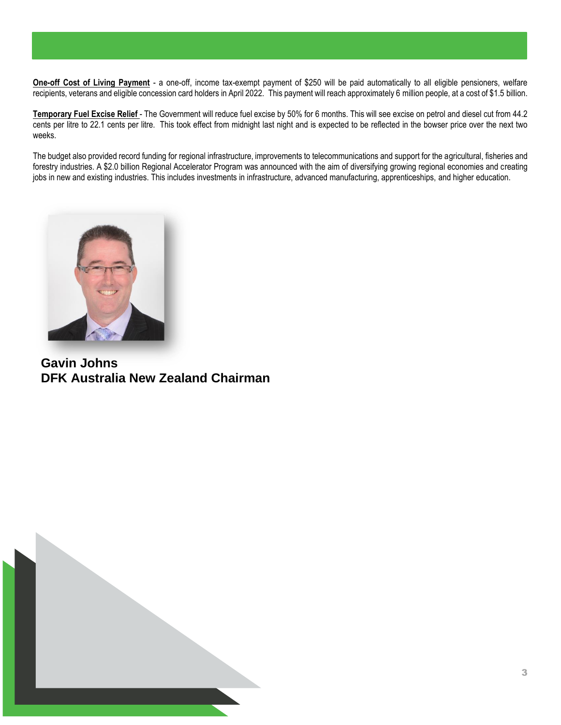**One-off Cost of Living Payment** - a one-off, income tax-exempt payment of \$250 will be paid automatically to all eligible pensioners, welfare recipients, veterans and eligible concession card holders in April 2022. This payment will reach approximately 6 million people, at a cost of \$1.5 billion.

**Temporary Fuel Excise Relief** - The Government will reduce fuel excise by 50% for 6 months. This will see excise on petrol and diesel cut from 44.2 cents per litre to 22.1 cents per litre. This took effect from midnight last night and is expected to be reflected in the bowser price over the next two weeks.

The budget also provided record funding for regional infrastructure, improvements to telecommunications and support for the agricultural, fisheries and forestry industries. A \$2.0 billion Regional Accelerator Program was announced with the aim of diversifying growing regional economies and creating jobs in new and existing industries. This includes investments in infrastructure, advanced manufacturing, apprenticeships, and higher education.



**Gavin Johns DFK Australia New Zealand Chairman**

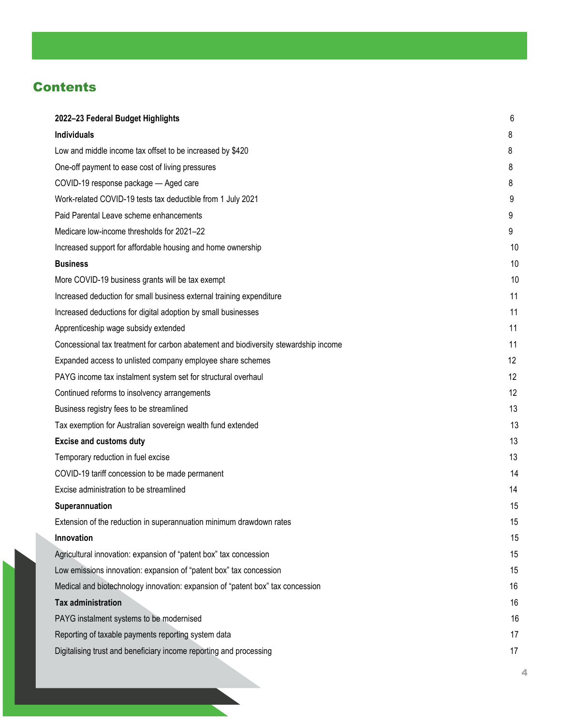## **Contents**

| 2022-23 Federal Budget Highlights                                                   | 6  |
|-------------------------------------------------------------------------------------|----|
| <b>Individuals</b>                                                                  | 8  |
| Low and middle income tax offset to be increased by \$420                           | 8  |
| One-off payment to ease cost of living pressures                                    | 8  |
| COVID-19 response package - Aged care                                               | 8  |
| Work-related COVID-19 tests tax deductible from 1 July 2021                         | 9  |
| Paid Parental Leave scheme enhancements                                             | 9  |
| Medicare low-income thresholds for 2021-22                                          | 9  |
| Increased support for affordable housing and home ownership                         | 10 |
| <b>Business</b>                                                                     | 10 |
| More COVID-19 business grants will be tax exempt                                    | 10 |
| Increased deduction for small business external training expenditure                | 11 |
| Increased deductions for digital adoption by small businesses                       | 11 |
| Apprenticeship wage subsidy extended                                                | 11 |
| Concessional tax treatment for carbon abatement and biodiversity stewardship income | 11 |
| Expanded access to unlisted company employee share schemes                          | 12 |
| PAYG income tax instalment system set for structural overhaul                       | 12 |
| Continued reforms to insolvency arrangements                                        | 12 |
| Business registry fees to be streamlined                                            | 13 |
| Tax exemption for Australian sovereign wealth fund extended                         | 13 |
| <b>Excise and customs duty</b>                                                      | 13 |
| Temporary reduction in fuel excise                                                  | 13 |
| COVID-19 tariff concession to be made permanent                                     | 14 |
| Excise administration to be streamlined                                             | 14 |
| Superannuation                                                                      | 15 |
| Extension of the reduction in superannuation minimum drawdown rates                 | 15 |
| Innovation                                                                          | 15 |
| Agricultural innovation: expansion of "patent box" tax concession                   | 15 |
| Low emissions innovation: expansion of "patent box" tax concession                  | 15 |
| Medical and biotechnology innovation: expansion of "patent box" tax concession      | 16 |
| <b>Tax administration</b>                                                           | 16 |
| PAYG instalment systems to be modernised                                            | 16 |
| Reporting of taxable payments reporting system data                                 | 17 |
| Digitalising trust and beneficiary income reporting and processing                  | 17 |
|                                                                                     |    |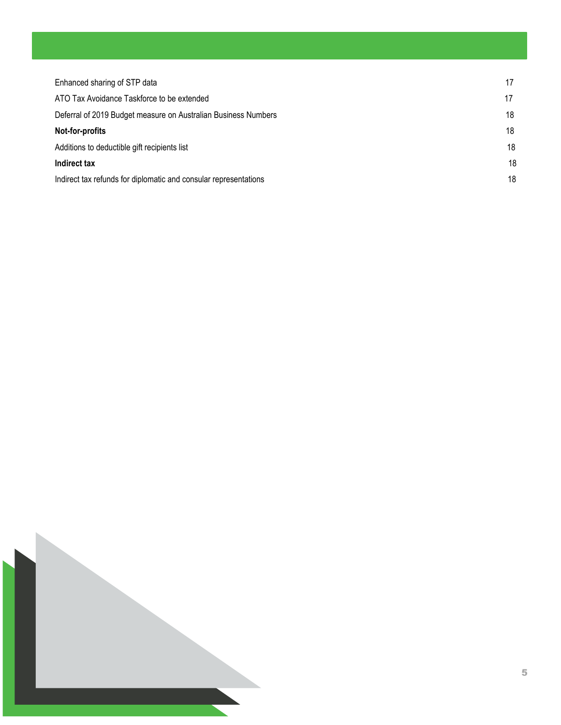| Enhanced sharing of STP data                                     | 17 |
|------------------------------------------------------------------|----|
| ATO Tax Avoidance Taskforce to be extended                       | 17 |
| Deferral of 2019 Budget measure on Australian Business Numbers   | 18 |
| Not-for-profits                                                  | 18 |
| Additions to deductible gift recipients list                     |    |
| Indirect tax                                                     | 18 |
| Indirect tax refunds for diplomatic and consular representations |    |

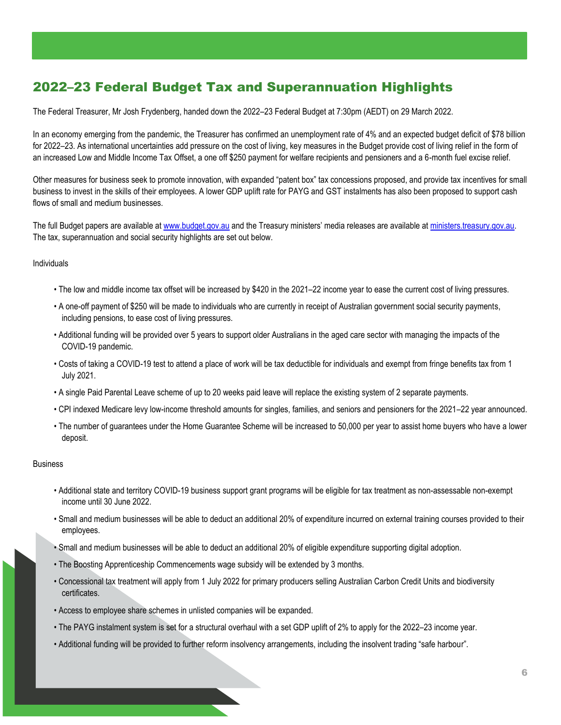## <span id="page-5-0"></span>2022–23 Federal Budget Tax and Superannuation Highlights

The Federal Treasurer, Mr Josh Frydenberg, handed down the 2022–23 Federal Budget at 7:30pm (AEDT) on 29 March 2022.

In an economy emerging from the pandemic, the Treasurer has confirmed an unemployment rate of 4% and an expected budget deficit of \$78 billion for 2022–23. As international uncertainties add pressure on the cost of living, key measures in the Budget provide cost of living relief in the form of an increased Low and Middle Income Tax Offset, a one off \$250 payment for welfare recipients and pensioners and a 6-month fuel excise relief.

Other measures for business seek to promote innovation, with expanded "patent box" tax concessions proposed, and provide tax incentives for small business to invest in the skills of their employees. A lower GDP uplift rate for PAYG and GST instalments has also been proposed to support cash flows of small and medium businesses.

The full Budget papers are available a[t www.budget.gov.au](http://www.budget.gov.au/) and the Treasury ministers' media releases are available at ministers.treasury.gov.au. The tax, superannuation and social security highlights are set out below.

#### Individuals

- The low and middle income tax offset will be increased by \$420 in the 2021–22 income year to ease the current cost of living pressures.
- A one-off payment of \$250 will be made to individuals who are currently in receipt of Australian government social security payments, including pensions, to ease cost of living pressures.
- Additional funding will be provided over 5 years to support older Australians in the aged care sector with managing the impacts of the COVID-19 pandemic.
- Costs of taking a COVID-19 test to attend a place of work will be tax deductible for individuals and exempt from fringe benefits tax from 1 July 2021.
- A single Paid Parental Leave scheme of up to 20 weeks paid leave will replace the existing system of 2 separate payments.
- CPI indexed Medicare levy low-income threshold amounts for singles, families, and seniors and pensioners for the 2021–22 year announced.
- The number of guarantees under the Home Guarantee Scheme will be increased to 50,000 per year to assist home buyers who have a lower deposit.

#### Business

- Additional state and territory COVID-19 business support grant programs will be eligible for tax treatment as non-assessable non-exempt income until 30 June 2022.
- Small and medium businesses will be able to deduct an additional 20% of expenditure incurred on external training courses provided to their employees.
- Small and medium businesses will be able to deduct an additional 20% of eligible expenditure supporting digital adoption.
- The Boosting Apprenticeship Commencements wage subsidy will be extended by 3 months.
- Concessional tax treatment will apply from 1 July 2022 for primary producers selling Australian Carbon Credit Units and biodiversity certificates.
- Access to employee share schemes in unlisted companies will be expanded.
- The PAYG instalment system is set for a structural overhaul with a set GDP uplift of 2% to apply for the 2022–23 income year.
- Additional funding will be provided to further reform insolvency arrangements, including the insolvent trading "safe harbour".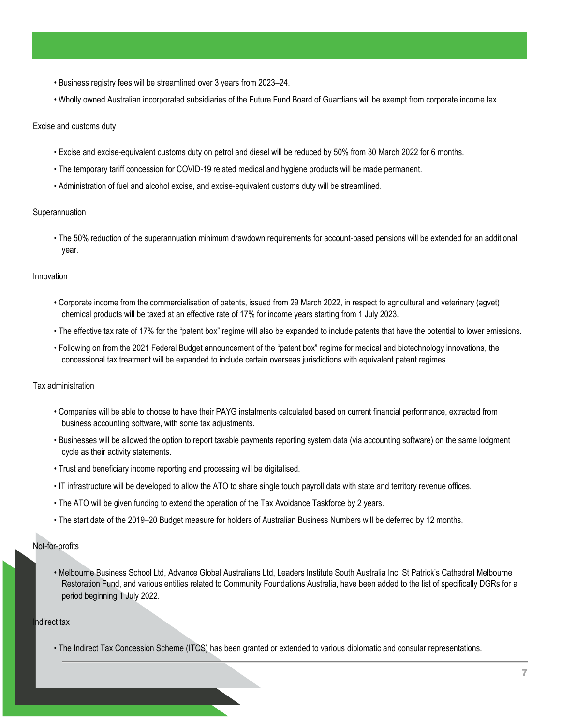- Business registry fees will be streamlined over 3 years from 2023–24.
- Wholly owned Australian incorporated subsidiaries of the Future Fund Board of Guardians will be exempt from corporate income tax.

#### Excise and customs duty

- Excise and excise-equivalent customs duty on petrol and diesel will be reduced by 50% from 30 March 2022 for 6 months.
- The temporary tariff concession for COVID-19 related medical and hygiene products will be made permanent.
- Administration of fuel and alcohol excise, and excise-equivalent customs duty will be streamlined.

#### Superannuation

• The 50% reduction of the superannuation minimum drawdown requirements for account-based pensions will be extended for an additional year.

#### Innovation

- Corporate income from the commercialisation of patents, issued from 29 March 2022, in respect to agricultural and veterinary (agvet) chemical products will be taxed at an effective rate of 17% for income years starting from 1 July 2023.
- The effective tax rate of 17% for the "patent box" regime will also be expanded to include patents that have the potential to lower emissions.
- Following on from the 2021 Federal Budget announcement of the "patent box" regime for medical and biotechnology innovations, the concessional tax treatment will be expanded to include certain overseas jurisdictions with equivalent patent regimes.

#### Tax administration

- Companies will be able to choose to have their PAYG instalments calculated based on current financial performance, extracted from business accounting software, with some tax adjustments.
- Businesses will be allowed the option to report taxable payments reporting system data (via accounting software) on the same lodgment cycle as their activity statements.
- Trust and beneficiary income reporting and processing will be digitalised.
- IT infrastructure will be developed to allow the ATO to share single touch payroll data with state and territory revenue offices.
- The ATO will be given funding to extend the operation of the Tax Avoidance Taskforce by 2 years.
- The start date of the 2019–20 Budget measure for holders of Australian Business Numbers will be deferred by 12 months.

#### Not-for-profits

• Melbourne Business School Ltd, Advance Global Australians Ltd, Leaders Institute South Australia Inc, St Patrick's Cathedral Melbourne Restoration Fund, and various entities related to Community Foundations Australia, have been added to the list of specifically DGRs for a period beginning 1 July 2022.

#### Indirect tax

• The Indirect Tax Concession Scheme (ITCS) has been granted or extended to various diplomatic and consular representations.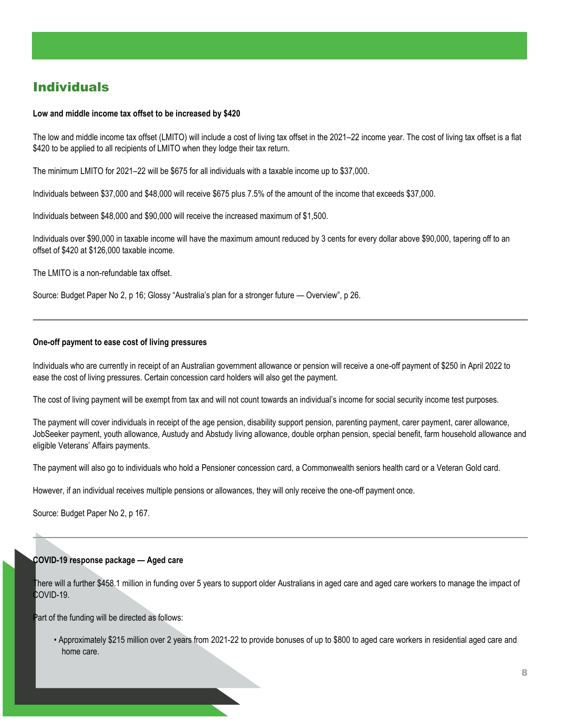## <span id="page-7-0"></span>**Individuals**

#### <span id="page-7-1"></span>**Low and middle income tax offset to be increased by \$420**

The low and middle income tax offset (LMITO) will include a cost of living tax offset in the 2021–22 income year. The cost of living tax offset is a flat \$420 to be applied to all recipients of LMITO when they lodge their tax return.

The minimum LMITO for 2021–22 will be \$675 for all individuals with a taxable income up to \$37,000.

Individuals between \$37,000 and \$48,000 will receive \$675 plus 7.5% of the amount of the income that exceeds \$37,000.

Individuals between \$48,000 and \$90,000 will receive the increased maximum of \$1,500.

Individuals over \$90,000 in taxable income will have the maximum amount reduced by 3 cents for every dollar above \$90,000, tapering off to an offset of \$420 at \$126,000 taxable income.

The LMITO is a non-refundable tax offset.

Source: Budget Paper No 2, p 16; Glossy "Australia's plan for a stronger future — Overview", p 26.

#### <span id="page-7-2"></span>**One-off payment to ease cost of living pressures**

Individuals who are currently in receipt of an Australian government allowance or pension will receive a one-off payment of \$250 in April 2022 to ease the cost of living pressures. Certain concession card holders will also get the payment.

The cost of living payment will be exempt from tax and will not count towards an individual's income for social security income test purposes.

The payment will cover individuals in receipt of the age pension, disability support pension, parenting payment, carer payment, carer allowance, JobSeeker payment, youth allowance, Austudy and Abstudy living allowance, double orphan pension, special benefit, farm household allowance and eligible Veterans' Affairs payments.

The payment will also go to individuals who hold a Pensioner concession card, a Commonwealth seniors health card or a Veteran Gold card.

However, if an individual receives multiple pensions or allowances, they will only receive the one-off payment once.

Source: Budget Paper No 2, p 167.

#### <span id="page-7-3"></span>**COVID-19 response package — Aged care**

There will a further \$458.1 million in funding over 5 years to support older Australians in aged care and aged care workers to manage the impact of COVID-19.

Part of the funding will be directed as follows:

• Approximately \$215 million over 2 years from 2021-22 to provide bonuses of up to \$800 to aged care workers in residential aged care and home care.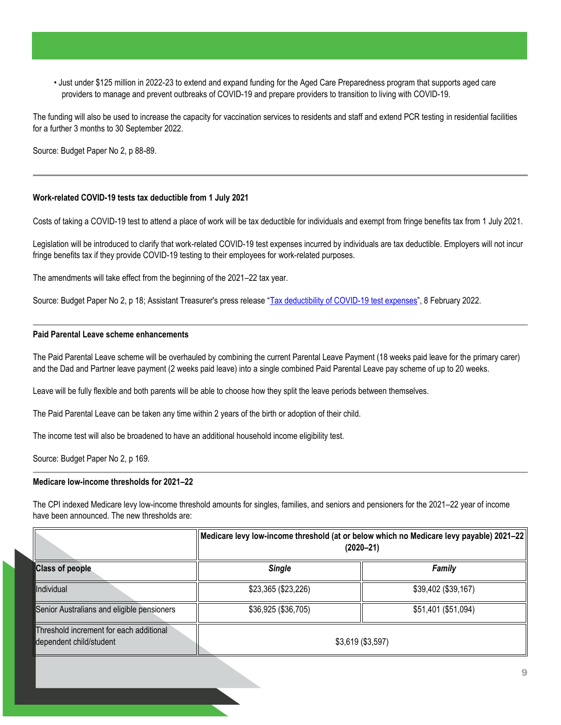• Just under \$125 million in 2022-23 to extend and expand funding for the Aged Care Preparedness program that supports aged care providers to manage and prevent outbreaks of COVID-19 and prepare providers to transition to living with COVID-19.

The funding will also be used to increase the capacity for vaccination services to residents and staff and extend PCR testing in residential facilities for a further 3 months to 30 September 2022.

Source: Budget Paper No 2, p 88-89.

#### <span id="page-8-0"></span>**Work-related COVID-19 tests tax deductible from 1 July 2021**

Costs of taking a COVID-19 test to attend a place of work will be tax deductible for individuals and exempt from fringe benefits tax from 1 July 2021.

Legislation will be introduced to clarify that work-related COVID-19 test expenses incurred by individuals are tax deductible. Employers will not incur fringe benefits tax if they provide COVID-19 testing to their employees for work-related purposes.

The amendments will take effect from the beginning of the 2021–22 tax year.

Source: Budget Paper No 2, p 18; Assistant Treasurer's press release "[Tax deductibility of COVID-19 test expenses](https://ministers.treasury.gov.au/ministers/michael-sukkar-2019/media-releases/tax-deductibility-covid-19-test-expenses)", 8 February 2022.

#### <span id="page-8-1"></span>**Paid Parental Leave scheme enhancements**

The Paid Parental Leave scheme will be overhauled by combining the current Parental Leave Payment (18 weeks paid leave for the primary carer) and the Dad and Partner leave payment (2 weeks paid leave) into a single combined Paid Parental Leave pay scheme of up to 20 weeks.

Leave will be fully flexible and both parents will be able to choose how they split the leave periods between themselves.

The Paid Parental Leave can be taken any time within 2 years of the birth or adoption of their child.

The income test will also be broadened to have an additional household income eligibility test.

Source: Budget Paper No 2, p 169.

#### <span id="page-8-2"></span>**Medicare low-income thresholds for 2021–22**

The CPI indexed Medicare levy low-income threshold amounts for singles, families, and seniors and pensioners for the 2021–22 year of income have been announced. The new thresholds are:

|                                                                    | Medicare levy low-income threshold (at or below which no Medicare levy payable) 2021-22<br>$(2020 - 21)$ |                     |
|--------------------------------------------------------------------|----------------------------------------------------------------------------------------------------------|---------------------|
| <b>Class of people</b>                                             | <b>Single</b>                                                                                            | Family              |
| Individual                                                         | \$23,365 (\$23,226)                                                                                      | \$39,402 (\$39,167) |
| Senior Australians and eligible pensioners                         | \$36,925 (\$36,705)                                                                                      | \$51,401 (\$51,094) |
| Threshold increment for each additional<br>dependent child/student | $$3,619$ (\$3,597)                                                                                       |                     |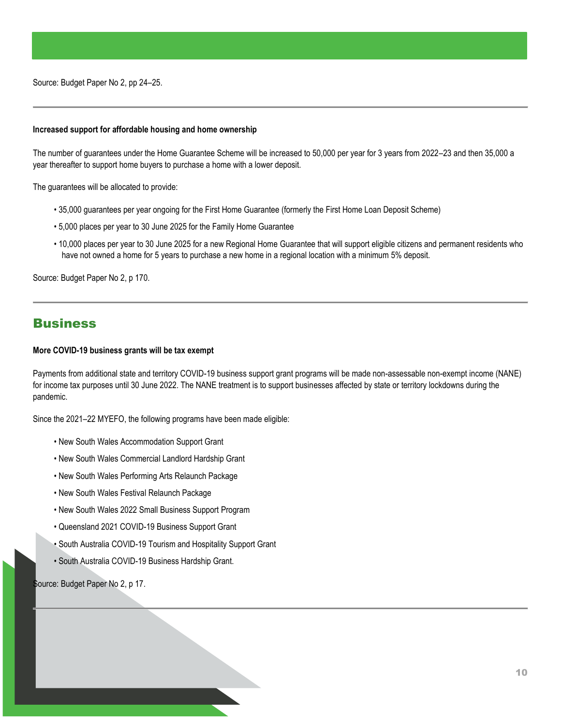Source: Budget Paper No 2, pp 24–25.

#### <span id="page-9-0"></span>**Increased support for affordable housing and home ownership**

The number of guarantees under the Home Guarantee Scheme will be increased to 50,000 per year for 3 years from 2022–23 and then 35,000 a year thereafter to support home buyers to purchase a home with a lower deposit.

The guarantees will be allocated to provide:

- 35,000 guarantees per year ongoing for the First Home Guarantee (formerly the First Home Loan Deposit Scheme)
- 5,000 places per year to 30 June 2025 for the Family Home Guarantee
- 10,000 places per year to 30 June 2025 for a new Regional Home Guarantee that will support eligible citizens and permanent residents who have not owned a home for 5 years to purchase a new home in a regional location with a minimum 5% deposit.

Source: Budget Paper No 2, p 170.

### <span id="page-9-1"></span>**Business**

#### <span id="page-9-2"></span>**More COVID-19 business grants will be tax exempt**

Payments from additional state and territory COVID-19 business support grant programs will be made non-assessable non-exempt income (NANE) for income tax purposes until 30 June 2022. The NANE treatment is to support businesses affected by state or territory lockdowns during the pandemic.

Since the 2021–22 MYEFO, the following programs have been made eligible:

- New South Wales Accommodation Support Grant
- New South Wales Commercial Landlord Hardship Grant
- New South Wales Performing Arts Relaunch Package
- New South Wales Festival Relaunch Package
- New South Wales 2022 Small Business Support Program
- Queensland 2021 COVID-19 Business Support Grant
- South Australia COVID-19 Tourism and Hospitality Support Grant
- South Australia COVID-19 Business Hardship Grant.

<span id="page-9-3"></span>Source: Budget Paper No 2, p 17.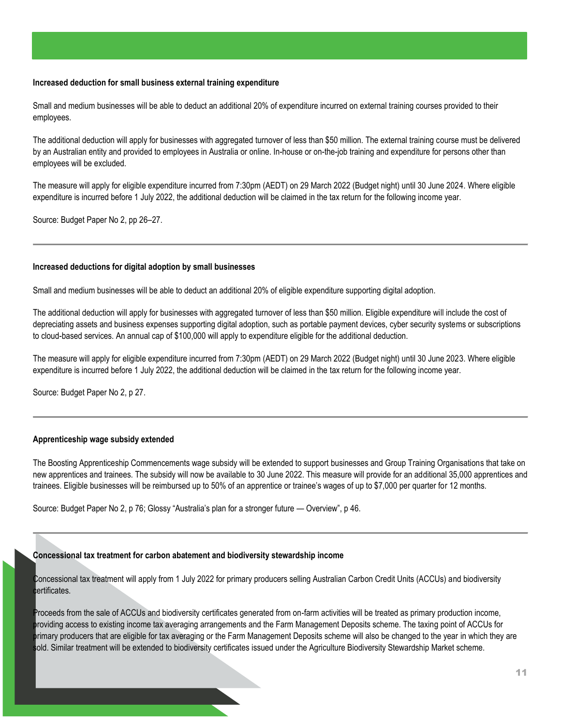#### **Increased deduction for small business external training expenditure**

Small and medium businesses will be able to deduct an additional 20% of expenditure incurred on external training courses provided to their employees.

The additional deduction will apply for businesses with aggregated turnover of less than \$50 million. The external training course must be delivered by an Australian entity and provided to employees in Australia or online. In-house or on-the-job training and expenditure for persons other than employees will be excluded.

The measure will apply for eligible expenditure incurred from 7:30pm (AEDT) on 29 March 2022 (Budget night) until 30 June 2024. Where eligible expenditure is incurred before 1 July 2022, the additional deduction will be claimed in the tax return for the following income year.

Source: Budget Paper No 2, pp 26–27.

#### <span id="page-10-0"></span>**Increased deductions for digital adoption by small businesses**

Small and medium businesses will be able to deduct an additional 20% of eligible expenditure supporting digital adoption.

The additional deduction will apply for businesses with aggregated turnover of less than \$50 million. Eligible expenditure will include the cost of depreciating assets and business expenses supporting digital adoption, such as portable payment devices, cyber security systems or subscriptions to cloud-based services. An annual cap of \$100,000 will apply to expenditure eligible for the additional deduction.

The measure will apply for eligible expenditure incurred from 7:30pm (AEDT) on 29 March 2022 (Budget night) until 30 June 2023. Where eligible expenditure is incurred before 1 July 2022, the additional deduction will be claimed in the tax return for the following income year.

Source: Budget Paper No 2, p 27.

#### <span id="page-10-1"></span>**Apprenticeship wage subsidy extended**

The Boosting Apprenticeship Commencements wage subsidy will be extended to support businesses and Group Training Organisations that take on new apprentices and trainees. The subsidy will now be available to 30 June 2022. This measure will provide for an additional 35,000 apprentices and trainees. Eligible businesses will be reimbursed up to 50% of an apprentice or trainee's wages of up to \$7,000 per quarter for 12 months.

Source: Budget Paper No 2, p 76; Glossy "Australia's plan for a stronger future — Overview", p 46.

#### <span id="page-10-2"></span>**Concessional tax treatment for carbon abatement and biodiversity stewardship income**

Concessional tax treatment will apply from 1 July 2022 for primary producers selling Australian Carbon Credit Units (ACCUs) and biodiversity certificates.

Proceeds from the sale of ACCUs and biodiversity certificates generated from on-farm activities will be treated as primary production income, providing access to existing income tax averaging arrangements and the Farm Management Deposits scheme. The taxing point of ACCUs for primary producers that are eligible for tax averaging or the Farm Management Deposits scheme will also be changed to the year in which they are sold. Similar treatment will be extended to biodiversity certificates issued under the Agriculture Biodiversity Stewardship Market scheme.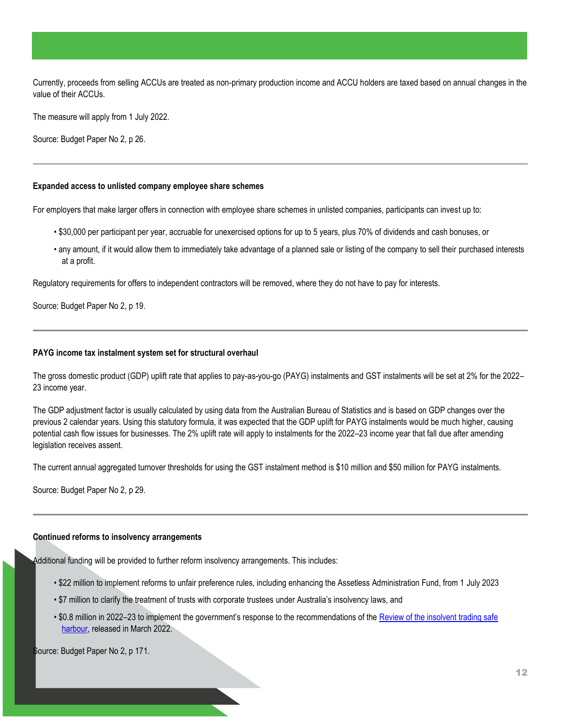Currently, proceeds from selling ACCUs are treated as non-primary production income and ACCU holders are taxed based on annual changes in the value of their ACCUs.

The measure will apply from 1 July 2022.

Source: Budget Paper No 2, p 26.

#### <span id="page-11-0"></span>**Expanded access to unlisted company employee share schemes**

For employers that make larger offers in connection with employee share schemes in unlisted companies, participants can invest up to:

- \$30,000 per participant per year, accruable for unexercised options for up to 5 years, plus 70% of dividends and cash bonuses, or
- any amount, if it would allow them to immediately take advantage of a planned sale or listing of the company to sell their purchased interests at a profit.

Regulatory requirements for offers to independent contractors will be removed, where they do not have to pay for interests.

Source: Budget Paper No 2, p 19.

#### <span id="page-11-1"></span>**PAYG income tax instalment system set for structural overhaul**

The gross domestic product (GDP) uplift rate that applies to pay-as-you-go (PAYG) instalments and GST instalments will be set at 2% for the 2022– 23 income year.

The GDP adjustment factor is usually calculated by using data from the Australian Bureau of Statistics and is based on GDP changes over the previous 2 calendar years. Using this statutory formula, it was expected that the GDP uplift for PAYG instalments would be much higher, causing potential cash flow issues for businesses. The 2% uplift rate will apply to instalments for the 2022–23 income year that fall due after amending legislation receives assent.

The current annual aggregated turnover thresholds for using the GST instalment method is \$10 million and \$50 million for PAYG instalments.

Source: Budget Paper No 2, p 29.

#### <span id="page-11-2"></span>**Continued reforms to insolvency arrangements**

Additional funding will be provided to further reform insolvency arrangements. This includes:

- \$22 million to implement reforms to unfair preference rules, including enhancing the Assetless Administration Fund, from 1 July 2023
- \$7 million to clarify the treatment of trusts with corporate trustees under Australia's insolvency laws, and
- \$0.8 million in 2022–23 to implement the government's response to the recommendations of the [Review of the insolvent trading safe](https://treasury.gov.au/publication/p2022-p258663-govt-response)  [harbour,](https://treasury.gov.au/publication/p2022-p258663-govt-response) released in March 2022.

Source: Budget Paper No 2, p 171.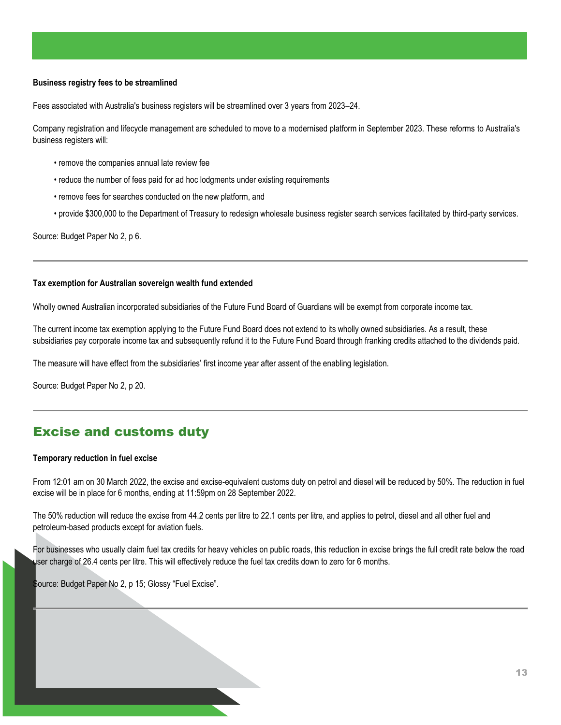#### <span id="page-12-0"></span>**Business registry fees to be streamlined**

Fees associated with Australia's business registers will be streamlined over 3 years from 2023–24.

Company registration and lifecycle management are scheduled to move to a modernised platform in September 2023. These reforms to Australia's business registers will:

- remove the companies annual late review fee
- reduce the number of fees paid for ad hoc lodgments under existing requirements
- remove fees for searches conducted on the new platform, and
- provide \$300,000 to the Department of Treasury to redesign wholesale business register search services facilitated by third-party services.

Source: Budget Paper No 2, p 6.

#### <span id="page-12-1"></span>**Tax exemption for Australian sovereign wealth fund extended**

Wholly owned Australian incorporated subsidiaries of the Future Fund Board of Guardians will be exempt from corporate income tax.

The current income tax exemption applying to the Future Fund Board does not extend to its wholly owned subsidiaries. As a result, these subsidiaries pay corporate income tax and subsequently refund it to the Future Fund Board through franking credits attached to the dividends paid.

The measure will have effect from the subsidiaries' first income year after assent of the enabling legislation.

Source: Budget Paper No 2, p 20.

## <span id="page-12-2"></span>Excise and customs duty

#### <span id="page-12-3"></span>**Temporary reduction in fuel excise**

From 12:01 am on 30 March 2022, the excise and excise-equivalent customs duty on petrol and diesel will be reduced by 50%. The reduction in fuel excise will be in place for 6 months, ending at 11:59pm on 28 September 2022.

The 50% reduction will reduce the excise from 44.2 cents per litre to 22.1 cents per litre, and applies to petrol, diesel and all other fuel and petroleum-based products except for aviation fuels.

For businesses who usually claim fuel tax credits for heavy vehicles on public roads, this reduction in excise brings the full credit rate below the road user charge of 26.4 cents per litre. This will effectively reduce the fuel tax credits down to zero for 6 months.

<span id="page-12-4"></span>Source: Budget Paper No 2, p 15; Glossy "Fuel Excise".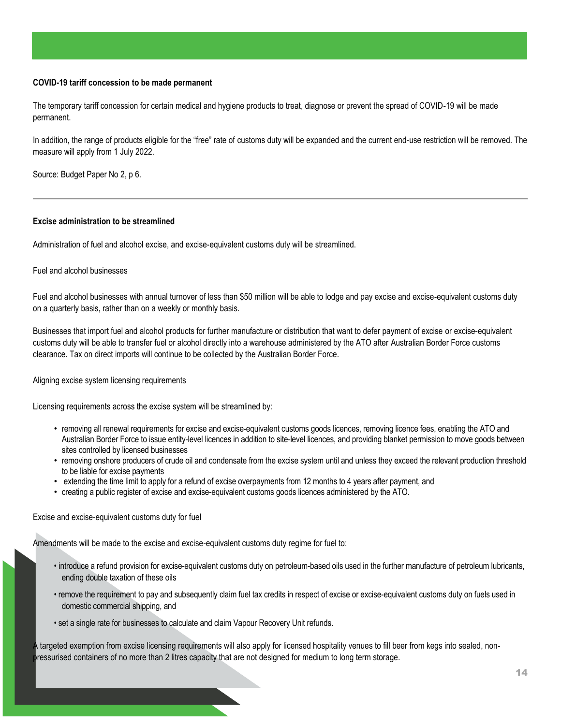#### **COVID-19 tariff concession to be made permanent**

The temporary tariff concession for certain medical and hygiene products to treat, diagnose or prevent the spread of COVID-19 will be made permanent.

In addition, the range of products eligible for the "free" rate of customs duty will be expanded and the current end-use restriction will be removed. The measure will apply from 1 July 2022.

Source: Budget Paper No 2, p 6.

#### <span id="page-13-0"></span>**Excise administration to be streamlined**

Administration of fuel and alcohol excise, and excise-equivalent customs duty will be streamlined.

#### Fuel and alcohol businesses

Fuel and alcohol businesses with annual turnover of less than \$50 million will be able to lodge and pay excise and excise-equivalent customs duty on a quarterly basis, rather than on a weekly or monthly basis.

Businesses that import fuel and alcohol products for further manufacture or distribution that want to defer payment of excise or excise-equivalent customs duty will be able to transfer fuel or alcohol directly into a warehouse administered by the ATO after Australian Border Force customs clearance. Tax on direct imports will continue to be collected by the Australian Border Force.

Aligning excise system licensing requirements

Licensing requirements across the excise system will be streamlined by:

- removing all renewal requirements for excise and excise-equivalent customs goods licences, removing licence fees, enabling the ATO and Australian Border Force to issue entity-level licences in addition to site-level licences, and providing blanket permission to move goods between sites controlled by licensed businesses
- removing onshore producers of crude oil and condensate from the excise system until and unless they exceed the relevant production threshold to be liable for excise payments
- extending the time limit to apply for a refund of excise overpayments from 12 months to 4 years after payment, and
- creating a public register of excise and excise-equivalent customs goods licences administered by the ATO.

Excise and excise-equivalent customs duty for fuel

Amendments will be made to the excise and excise-equivalent customs duty regime for fuel to:

- introduce a refund provision for excise-equivalent customs duty on petroleum-based oils used in the further manufacture of petroleum lubricants, ending double taxation of these oils
- remove the requirement to pay and subsequently claim fuel tax credits in respect of excise or excise-equivalent customs duty on fuels used in domestic commercial shipping, and
- set a single rate for businesses to calculate and claim Vapour Recovery Unit refunds.

A targeted exemption from excise licensing requirements will also apply for licensed hospitality venues to fill beer from kegs into sealed, nonpressurised containers of no more than 2 litres capacity that are not designed for medium to long term storage.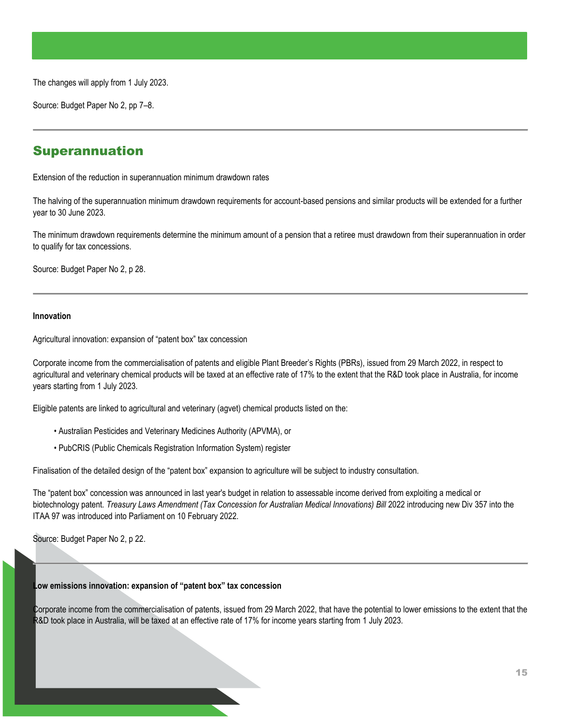The changes will apply from 1 July 2023.

Source: Budget Paper No 2, pp 7–8.

## <span id="page-14-0"></span>Superannuation

<span id="page-14-1"></span>Extension of the reduction in superannuation minimum drawdown rates

The halving of the superannuation minimum drawdown requirements for account-based pensions and similar products will be extended for a further year to 30 June 2023.

The minimum drawdown requirements determine the minimum amount of a pension that a retiree must drawdown from their superannuation in order to qualify for tax concessions.

Source: Budget Paper No 2, p 28.

#### <span id="page-14-2"></span>**Innovation**

<span id="page-14-3"></span>Agricultural innovation: expansion of "patent box" tax concession

Corporate income from the commercialisation of patents and eligible Plant Breeder's Rights (PBRs), issued from 29 March 2022, in respect to agricultural and veterinary chemical products will be taxed at an effective rate of 17% to the extent that the R&D took place in Australia, for income years starting from 1 July 2023.

Eligible patents are linked to agricultural and veterinary (agvet) chemical products listed on the:

- Australian Pesticides and Veterinary Medicines Authority (APVMA), or
- PubCRIS (Public Chemicals Registration Information System) register

Finalisation of the detailed design of the "patent box" expansion to agriculture will be subject to industry consultation.

The "patent box" concession was announced in last year's budget in relation to assessable income derived from exploiting a medical or biotechnology patent. *Treasury Laws Amendment (Tax Concession for Australian Medical Innovations) Bill* 2022 introducing new Div 357 into the ITAA 97 was introduced into Parliament on 10 February 2022.

Source: Budget Paper No 2, p 22.

#### <span id="page-14-4"></span>**Low emissions innovation: expansion of "patent box" tax concession**

Corporate income from the commercialisation of patents, issued from 29 March 2022, that have the potential to lower emissions to the extent that the R&D took place in Australia, will be taxed at an effective rate of 17% for income years starting from 1 July 2023.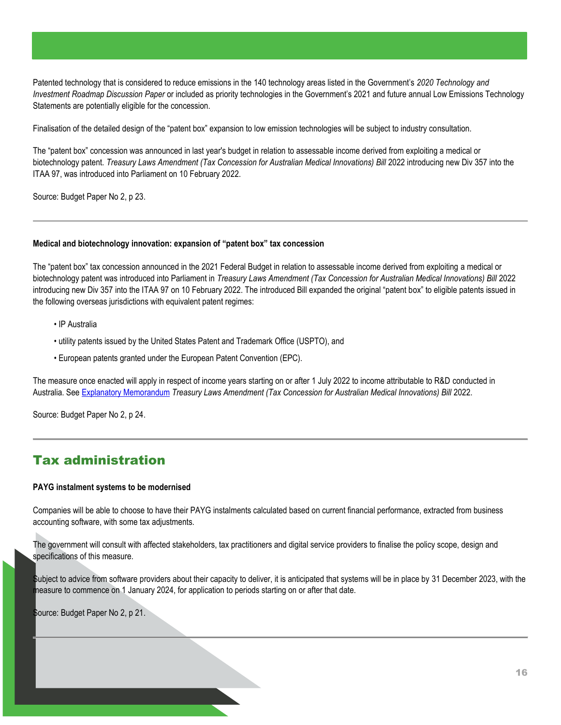Patented technology that is considered to reduce emissions in the 140 technology areas listed in the Government's *2020 Technology and Investment Roadmap Discussion Paper* or included as priority technologies in the Government's 2021 and future annual Low Emissions Technology Statements are potentially eligible for the concession.

Finalisation of the detailed design of the "patent box" expansion to low emission technologies will be subject to industry consultation.

The "patent box" concession was announced in last year's budget in relation to assessable income derived from exploiting a medical or biotechnology patent. *Treasury Laws Amendment (Tax Concession for Australian Medical Innovations) Bill* 2022 introducing new Div 357 into the ITAA 97, was introduced into Parliament on 10 February 2022.

Source: Budget Paper No 2, p 23.

#### <span id="page-15-0"></span>**Medical and biotechnology innovation: expansion of "patent box" tax concession**

The "patent box" tax concession announced in the 2021 Federal Budget in relation to assessable income derived from exploiting a medical or biotechnology patent was introduced into Parliament in *Treasury Laws Amendment (Tax Concession for Australian Medical Innovations) Bill* 2022 introducing new Div 357 into the ITAA 97 on 10 February 2022. The introduced Bill expanded the original "patent box" to eligible patents issued in the following overseas jurisdictions with equivalent patent regimes:

- IP Australia
- utility patents issued by the United States Patent and Trademark Office (USPTO), and
- European patents granted under the European Patent Convention (EPC).

The measure once enacted will apply in respect of income years starting on or after 1 July 2022 to income attributable to R&D conducted in Australia. See [Explanatory Memorandum](https://www.aph.gov.au/Parliamentary_Business/Bills_Legislation/Bills_Search_Results/Result?bId=r6838) *Treasury Laws Amendment (Tax Concession for Australian Medical Innovations) Bill* 2022.

Source: Budget Paper No 2, p 24.

## <span id="page-15-1"></span>Tax administration

#### <span id="page-15-2"></span>**PAYG instalment systems to be modernised**

Companies will be able to choose to have their PAYG instalments calculated based on current financial performance, extracted from business accounting software, with some tax adjustments.

The government will consult with affected stakeholders, tax practitioners and digital service providers to finalise the policy scope, design and specifications of this measure.

Subject to advice from software providers about their capacity to deliver, it is anticipated that systems will be in place by 31 December 2023, with the measure to commence on 1 January 2024, for application to periods starting on or after that date.

<span id="page-15-3"></span>Source: Budget Paper No 2, p 21.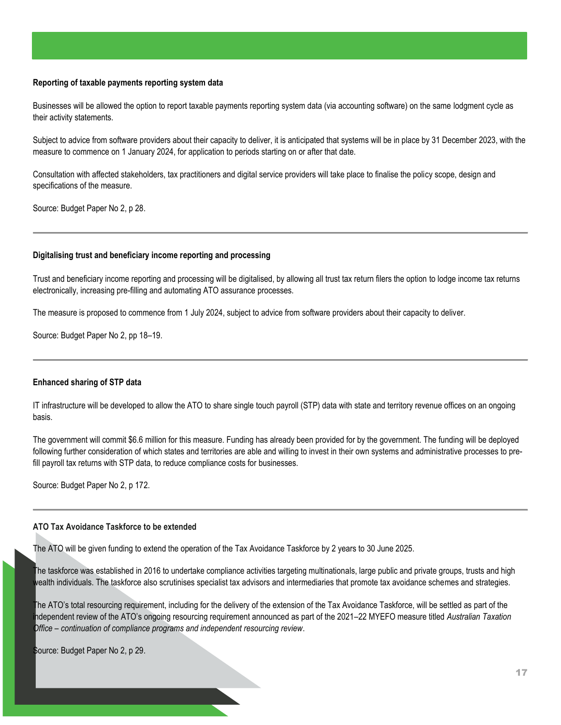#### **Reporting of taxable payments reporting system data**

Businesses will be allowed the option to report taxable payments reporting system data (via accounting software) on the same lodgment cycle as their activity statements.

Subject to advice from software providers about their capacity to deliver, it is anticipated that systems will be in place by 31 December 2023, with the measure to commence on 1 January 2024, for application to periods starting on or after that date.

Consultation with affected stakeholders, tax practitioners and digital service providers will take place to finalise the policy scope, design and specifications of the measure.

Source: Budget Paper No 2, p 28.

#### <span id="page-16-0"></span>**Digitalising trust and beneficiary income reporting and processing**

Trust and beneficiary income reporting and processing will be digitalised, by allowing all trust tax return filers the option to lodge income tax returns electronically, increasing pre-filling and automating ATO assurance processes.

The measure is proposed to commence from 1 July 2024, subject to advice from software providers about their capacity to deliver.

Source: Budget Paper No 2, pp 18–19.

#### <span id="page-16-1"></span>**Enhanced sharing of STP data**

IT infrastructure will be developed to allow the ATO to share single touch payroll (STP) data with state and territory revenue offices on an ongoing basis.

The government will commit \$6.6 million for this measure. Funding has already been provided for by the government. The funding will be deployed following further consideration of which states and territories are able and willing to invest in their own systems and administrative processes to prefill payroll tax returns with STP data, to reduce compliance costs for businesses.

Source: Budget Paper No 2, p 172.

#### <span id="page-16-2"></span>**ATO Tax Avoidance Taskforce to be extended**

The ATO will be given funding to extend the operation of the Tax Avoidance Taskforce by 2 years to 30 June 2025.

The taskforce was established in 2016 to undertake compliance activities targeting multinationals, large public and private groups, trusts and high wealth individuals. The taskforce also scrutinises specialist tax advisors and intermediaries that promote tax avoidance schemes and strategies.

The ATO's total resourcing requirement, including for the delivery of the extension of the Tax Avoidance Taskforce, will be settled as part of the independent review of the ATO's ongoing resourcing requirement announced as part of the 2021–22 MYEFO measure titled *Australian Taxation Office – continuation of compliance programs and independent resourcing review*.

Source: Budget Paper No 2, p 29.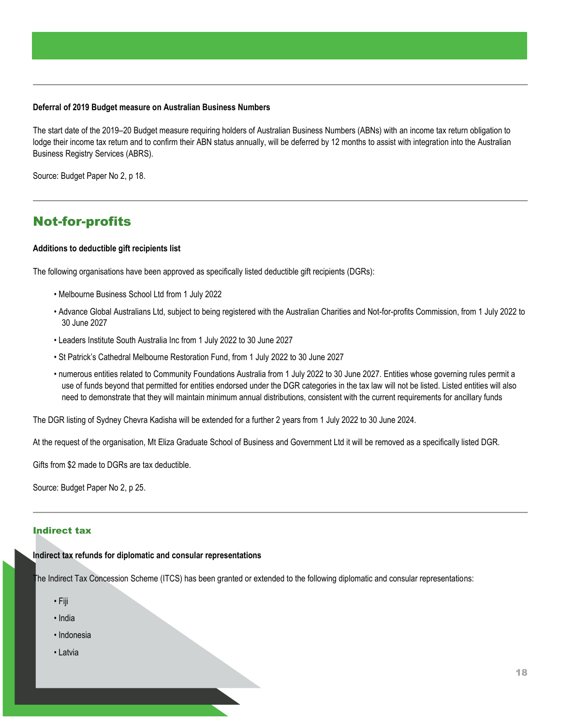#### <span id="page-17-0"></span>**Deferral of 2019 Budget measure on Australian Business Numbers**

The start date of the 2019–20 Budget measure requiring holders of Australian Business Numbers (ABNs) with an income tax return obligation to lodge their income tax return and to confirm their ABN status annually, will be deferred by 12 months to assist with integration into the Australian Business Registry Services (ABRS).

Source: Budget Paper No 2, p 18.

## <span id="page-17-1"></span>Not-for-profits

#### <span id="page-17-2"></span>**Additions to deductible gift recipients list**

The following organisations have been approved as specifically listed deductible gift recipients (DGRs):

- Melbourne Business School Ltd from 1 July 2022
- Advance Global Australians Ltd, subject to being registered with the Australian Charities and Not-for-profits Commission, from 1 July 2022 to 30 June 2027
- Leaders Institute South Australia Inc from 1 July 2022 to 30 June 2027
- St Patrick's Cathedral Melbourne Restoration Fund, from 1 July 2022 to 30 June 2027
- numerous entities related to Community Foundations Australia from 1 July 2022 to 30 June 2027. Entities whose governing rules permit a use of funds beyond that permitted for entities endorsed under the DGR categories in the tax law will not be listed. Listed entities will also need to demonstrate that they will maintain minimum annual distributions, consistent with the current requirements for ancillary funds

The DGR listing of Sydney Chevra Kadisha will be extended for a further 2 years from 1 July 2022 to 30 June 2024.

At the request of the organisation, Mt Eliza Graduate School of Business and Government Ltd it will be removed as a specifically listed DGR.

Gifts from \$2 made to DGRs are tax deductible.

Source: Budget Paper No 2, p 25.

#### <span id="page-17-4"></span><span id="page-17-3"></span>Indirect tax

#### **Indirect tax refunds for diplomatic and consular representations**

The Indirect Tax Concession Scheme (ITCS) has been granted or extended to the following diplomatic and consular representations:

- Fiji
- India
- Indonesia
- Latvia